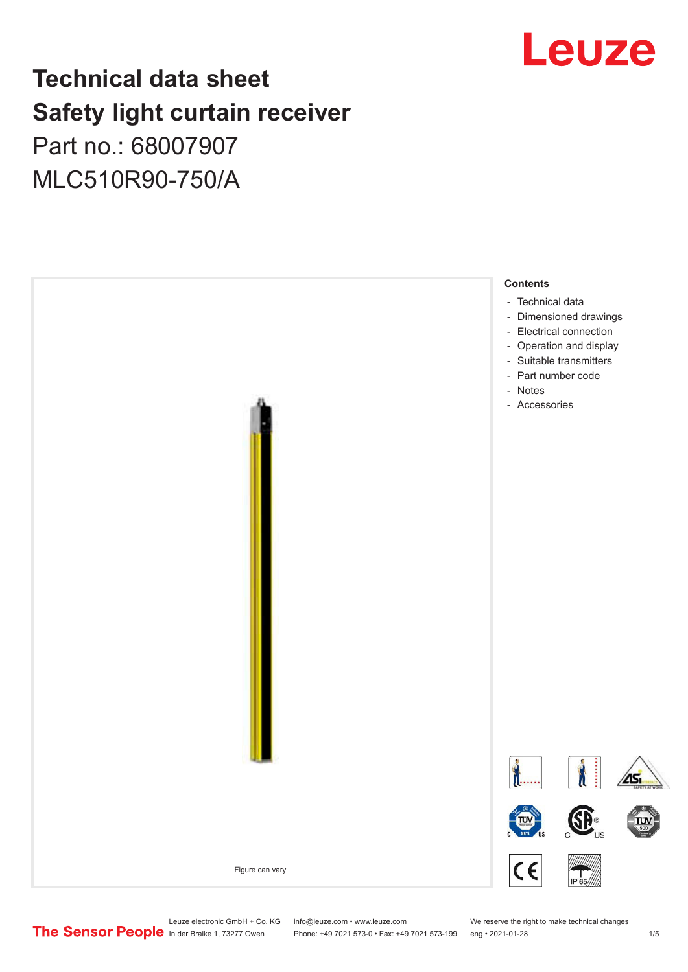## Leuze

## **Technical data sheet Safety light curtain receiver**

Part no.: 68007907 MLC510R90-750/A



Leuze electronic GmbH + Co. KG info@leuze.com • www.leuze.com We reserve the right to make technical changes<br>
The Sensor People in der Braike 1, 73277 Owen Phone: +49 7021 573-0 • Fax: +49 7021 573-199 eng • 2021-01-28

Phone: +49 7021 573-0 • Fax: +49 7021 573-199 eng • 2021-01-28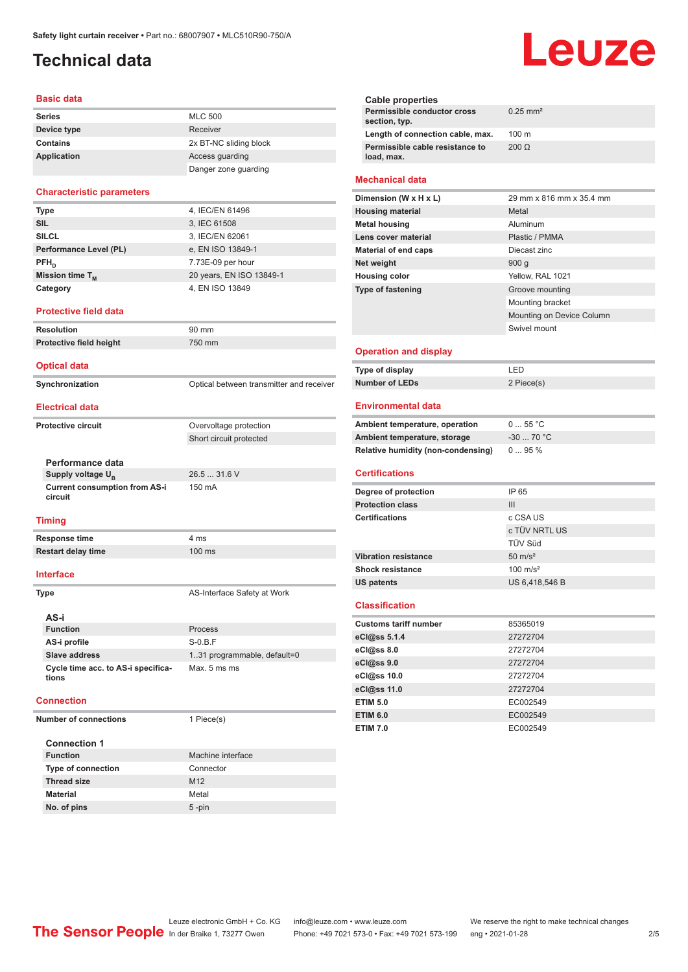## <span id="page-1-0"></span>**Technical data**

#### **Basic data**

| <b>Series</b> | <b>MLC 500</b>         |
|---------------|------------------------|
| Device type   | Receiver               |
| Contains      | 2x BT-NC sliding block |
| Application   | Access guarding        |
|               | Danger zone quarding   |

#### **Characteristic parameters**

| 4, IEC/EN 61496<br>3, IEC 61508<br>3, IEC/EN 62061<br>e, EN ISO 13849-1<br>7.73E-09 per hour<br>20 years, EN ISO 13849-1<br>4, EN ISO 13849 |                        |  |
|---------------------------------------------------------------------------------------------------------------------------------------------|------------------------|--|
|                                                                                                                                             | <b>Type</b>            |  |
|                                                                                                                                             | <b>SIL</b>             |  |
|                                                                                                                                             | <b>SILCL</b>           |  |
|                                                                                                                                             | Performance Level (PL) |  |
|                                                                                                                                             | $PFH_{n}$              |  |
|                                                                                                                                             | Mission time $T_M$     |  |
|                                                                                                                                             | Category               |  |

#### **Protective field data**

| <b>Resolution</b>              | $90 \text{ mm}$                          |
|--------------------------------|------------------------------------------|
| <b>Protective field height</b> | 750 mm                                   |
| <b>Optical data</b>            |                                          |
| Synchronization                | Optical between transmitter and receiver |

#### **Electrical data**

**Protective circuit COVER COVER COVER COVER COVER COVER COVER COVER COVER COVER COVER COVER COVER COVER COVER** 

**Performance data Supply voltage U<sub>B</sub>** 

**Current consumption from AS-i circuit**

#### **Timing**

**Response time** 4 ms **Restart delay time** 100 ms

#### **Interface**

**Type AS-Interface Safety at Work** 

Short circuit protected

26.5 ... 31.6 V

150 mA

| AS-i                                        |                              |
|---------------------------------------------|------------------------------|
| <b>Function</b>                             | <b>Process</b>               |
| AS-i profile                                | $S-0.B.F$                    |
| Slave address                               | 1.31 programmable, default=0 |
| Cycle time acc. to AS-i specifica-<br>tions | Max. 5 ms ms                 |

#### **Connection**

**Number of connections** 1 Piece(s) **Connection 1 Machine interface Type of connection** Connector **Thread size** M12 **Material** Metal **No. of pins** 5 -pin

# Leuze

| Cable properties                              |                        |
|-----------------------------------------------|------------------------|
| Permissible conductor cross<br>section, typ.  | $0.25$ mm <sup>2</sup> |
| Length of connection cable, max.              | $100 \text{ m}$        |
| Permissible cable resistance to<br>load, max. | $200 \Omega$           |
|                                               |                        |

#### **Mechanical data**

| Dimension (W x H x L)    | 29 mm x 816 mm x 35.4 mm  |
|--------------------------|---------------------------|
| <b>Housing material</b>  | Metal                     |
| <b>Metal housing</b>     | Aluminum                  |
| Lens cover material      | Plastic / PMMA            |
| Material of end caps     | Diecast zinc              |
| Net weight               | 900q                      |
| <b>Housing color</b>     | Yellow, RAL 1021          |
| <b>Type of fastening</b> | Groove mounting           |
|                          | Mounting bracket          |
|                          | Mounting on Device Column |
|                          | Swivel mount              |
|                          |                           |

#### **Operation and display**

| Type of display | ' FD.      |
|-----------------|------------|
| Number of LEDs  | 2 Piece(s) |

#### **Environmental data**

| Ambient temperature, operation     | $055$ °C   |
|------------------------------------|------------|
| Ambient temperature, storage       | $-3070 °C$ |
| Relative humidity (non-condensing) | $095\%$    |

### **Certifications**

| Degree of protection        | IP 65               |
|-----------------------------|---------------------|
| <b>Protection class</b>     | Ш                   |
| <b>Certifications</b>       | c CSA US            |
|                             | c TÜV NRTL US       |
|                             | <b>TÜV Süd</b>      |
| <b>Vibration resistance</b> | $50 \text{ m/s}^2$  |
| <b>Shock resistance</b>     | $100 \text{ m/s}^2$ |
| <b>US patents</b>           | US 6,418,546 B      |

#### **Classification**

| <b>Customs tariff number</b> | 85365019 |
|------------------------------|----------|
| eCl@ss 5.1.4                 | 27272704 |
| eCl@ss 8.0                   | 27272704 |
| $eC$ <sub>l</sub> $@ss$ 9.0  | 27272704 |
| eCl@ss 10.0                  | 27272704 |
| eCl@ss 11.0                  | 27272704 |
| <b>ETIM 5.0</b>              | EC002549 |
| <b>ETIM 6.0</b>              | EC002549 |
| <b>ETIM 7.0</b>              | EC002549 |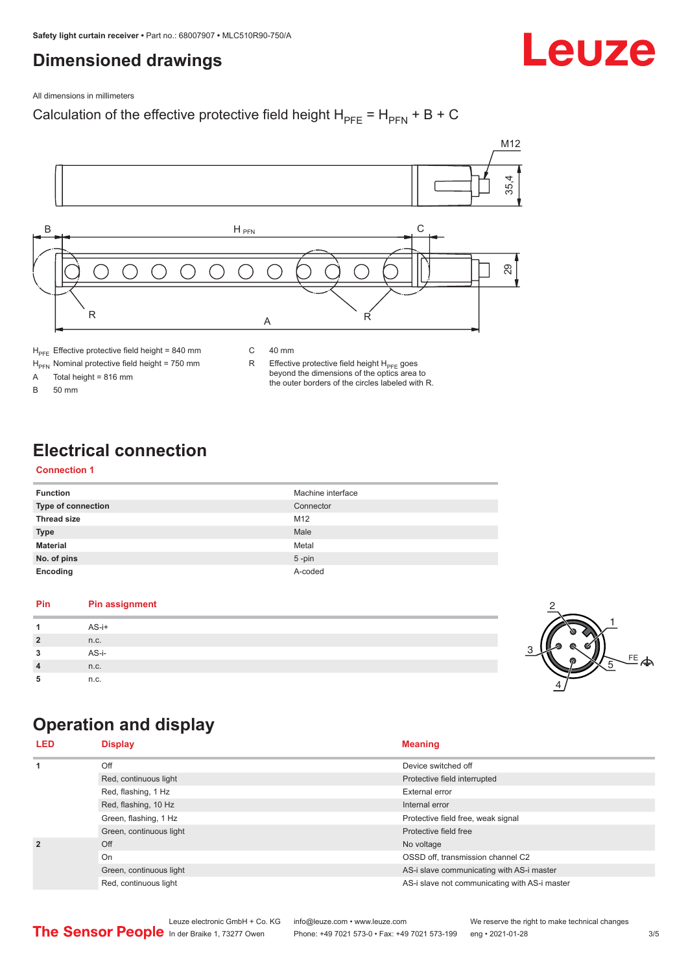## <span id="page-2-0"></span>**Dimensioned drawings**

Leuze

All dimensions in millimeters

## Calculation of the effective protective field height  $H_{PFE} = H_{PFN} + B + C$



 $H_{\text{PFE}}$  Effective protective field height = 840 mm

 $H_{\text{PFN}}$  Nominal protective field height = 750 mm<br>A Total height = 816 mm

Total height =  $816$  mm

B 50 mm

R Effective protective field height  $H_{PFE}$  goes beyond the dimensions of the optics area to the outer borders of the circles labeled with R.

## **Electrical connection**

## **Connection 1**

| <b>Function</b>           | Machine interface |
|---------------------------|-------------------|
| <b>Type of connection</b> | Connector         |
| <b>Thread size</b>        | M <sub>12</sub>   |
| <b>Type</b>               | Male              |
| <b>Material</b>           | Metal             |
| No. of pins               | $5$ -pin          |
| Encoding                  | A-coded           |

## **Pin Pin assignment 1** AS-i+ **2** n.c. **3** AS-i-**4** n.c. **5** n.c.



## **Operation and display**

| <b>LED</b>     | <b>Display</b>          | <b>Meaning</b>                                |
|----------------|-------------------------|-----------------------------------------------|
| 1              | Off                     | Device switched off                           |
|                | Red, continuous light   | Protective field interrupted                  |
|                | Red, flashing, 1 Hz     | External error                                |
|                | Red, flashing, 10 Hz    | Internal error                                |
|                | Green, flashing, 1 Hz   | Protective field free, weak signal            |
|                | Green, continuous light | Protective field free                         |
| $\overline{2}$ | Off                     | No voltage                                    |
|                | On                      | OSSD off, transmission channel C2             |
|                | Green, continuous light | AS-i slave communicating with AS-i master     |
|                | Red, continuous light   | AS-i slave not communicating with AS-i master |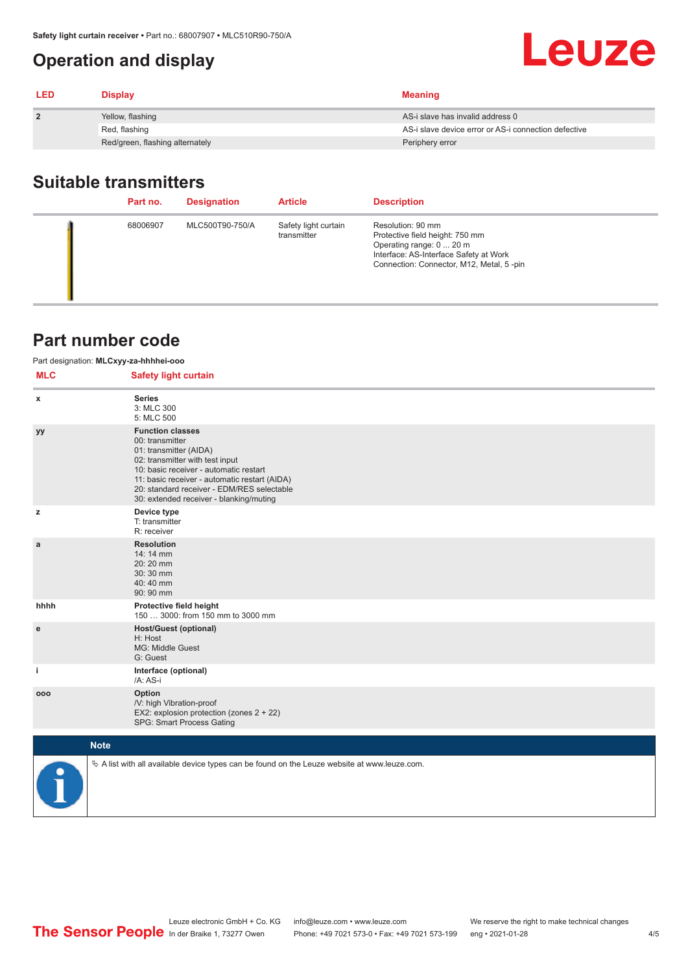## <span id="page-3-0"></span>**Operation and display**

| <b>LED</b>     | <b>Display</b>                  | <b>Meaning</b>                                       |
|----------------|---------------------------------|------------------------------------------------------|
| $\overline{2}$ | Yellow, flashing                | AS-i slave has invalid address 0                     |
|                | Red, flashing                   | AS-i slave device error or AS-i connection defective |
|                | Red/green, flashing alternately | Periphery error                                      |

## **Suitable transmitters**

| Part no. | <b>Designation</b> | <b>Article</b>                      | <b>Description</b>                                                                                                                                                     |
|----------|--------------------|-------------------------------------|------------------------------------------------------------------------------------------------------------------------------------------------------------------------|
| 68006907 | MLC500T90-750/A    | Safety light curtain<br>transmitter | Resolution: 90 mm<br>Protective field height: 750 mm<br>Operating range: 0  20 m<br>Interface: AS-Interface Safety at Work<br>Connection: Connector, M12, Metal, 5-pin |

## **Part number code**

| Part designation: MLCxyy-za-hhhhei-ooo |                                                                                                                                                                                                                                                                                             |  |  |  |
|----------------------------------------|---------------------------------------------------------------------------------------------------------------------------------------------------------------------------------------------------------------------------------------------------------------------------------------------|--|--|--|
| <b>MLC</b>                             | <b>Safety light curtain</b>                                                                                                                                                                                                                                                                 |  |  |  |
| x                                      | <b>Series</b><br>3: MLC 300<br>5: MLC 500                                                                                                                                                                                                                                                   |  |  |  |
| уy                                     | <b>Function classes</b><br>00: transmitter<br>01: transmitter (AIDA)<br>02: transmitter with test input<br>10: basic receiver - automatic restart<br>11: basic receiver - automatic restart (AIDA)<br>20: standard receiver - EDM/RES selectable<br>30: extended receiver - blanking/muting |  |  |  |
| z                                      | Device type<br>T: transmitter<br>R: receiver                                                                                                                                                                                                                                                |  |  |  |
| a                                      | <b>Resolution</b><br>14: 14 mm<br>20:20 mm<br>30:30 mm<br>40:40 mm<br>90: 90 mm                                                                                                                                                                                                             |  |  |  |
| hhhh                                   | Protective field height<br>150  3000: from 150 mm to 3000 mm                                                                                                                                                                                                                                |  |  |  |
| e                                      | <b>Host/Guest (optional)</b><br>H: Host<br>MG: Middle Guest<br>G: Guest                                                                                                                                                                                                                     |  |  |  |
| j.                                     | Interface (optional)<br>/A: AS-i                                                                                                                                                                                                                                                            |  |  |  |
| 000                                    | Option<br>/V: high Vibration-proof<br>EX2: explosion protection (zones 2 + 22)<br>SPG: Smart Process Gating                                                                                                                                                                                 |  |  |  |
|                                        | <b>Note</b>                                                                                                                                                                                                                                                                                 |  |  |  |
|                                        | $\&$ A list with all available device types can be found on the Leuze website at www.leuze.com.                                                                                                                                                                                             |  |  |  |

Leuze